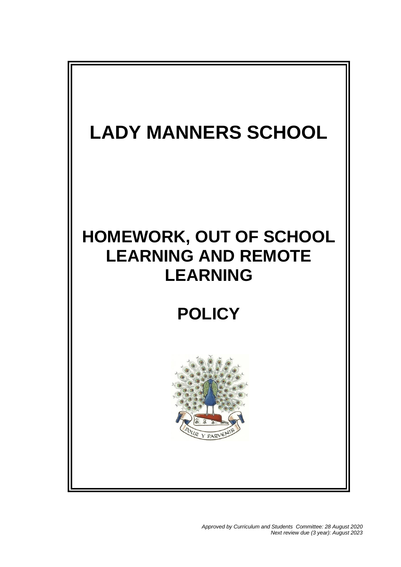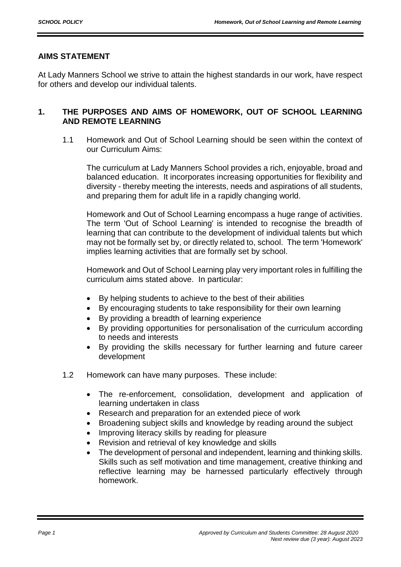# **AIMS STATEMENT**

At Lady Manners School we strive to attain the highest standards in our work, have respect for others and develop our individual talents.

# **1. THE PURPOSES AND AIMS OF HOMEWORK, OUT OF SCHOOL LEARNING AND REMOTE LEARNING**

1.1 Homework and Out of School Learning should be seen within the context of our Curriculum Aims:

The curriculum at Lady Manners School provides a rich, enjoyable, broad and balanced education. It incorporates increasing opportunities for flexibility and diversity - thereby meeting the interests, needs and aspirations of all students, and preparing them for adult life in a rapidly changing world.

Homework and Out of School Learning encompass a huge range of activities. The term 'Out of School Learning' is intended to recognise the breadth of learning that can contribute to the development of individual talents but which may not be formally set by, or directly related to, school. The term 'Homework' implies learning activities that are formally set by school.

Homework and Out of School Learning play very important roles in fulfilling the curriculum aims stated above. In particular:

- By helping students to achieve to the best of their abilities
- By encouraging students to take responsibility for their own learning
- By providing a breadth of learning experience
- By providing opportunities for personalisation of the curriculum according to needs and interests
- By providing the skills necessary for further learning and future career development
- 1.2 Homework can have many purposes. These include:
	- The re-enforcement, consolidation, development and application of learning undertaken in class
	- Research and preparation for an extended piece of work
	- Broadening subject skills and knowledge by reading around the subject
	- Improving literacy skills by reading for pleasure
	- Revision and retrieval of key knowledge and skills
	- The development of personal and independent, learning and thinking skills. Skills such as self motivation and time management, creative thinking and reflective learning may be harnessed particularly effectively through homework.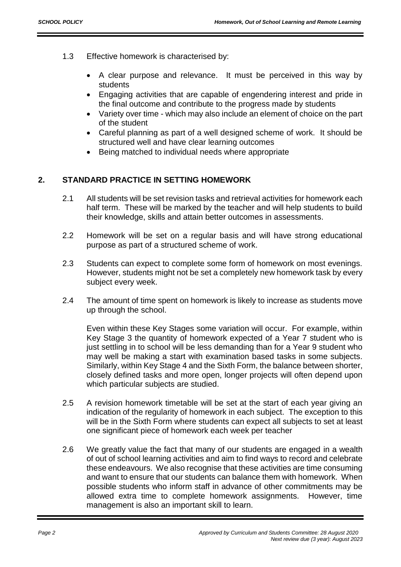- 1.3 Effective homework is characterised by:
	- A clear purpose and relevance. It must be perceived in this way by students
	- Engaging activities that are capable of engendering interest and pride in the final outcome and contribute to the progress made by students
	- Variety over time which may also include an element of choice on the part of the student
	- Careful planning as part of a well designed scheme of work. It should be structured well and have clear learning outcomes
	- Being matched to individual needs where appropriate

# **2. STANDARD PRACTICE IN SETTING HOMEWORK**

- 2.1 All students will be set revision tasks and retrieval activities for homework each half term. These will be marked by the teacher and will help students to build their knowledge, skills and attain better outcomes in assessments.
- 2.2 Homework will be set on a regular basis and will have strong educational purpose as part of a structured scheme of work.
- 2.3 Students can expect to complete some form of homework on most evenings. However, students might not be set a completely new homework task by every subject every week.
- 2.4 The amount of time spent on homework is likely to increase as students move up through the school.

Even within these Key Stages some variation will occur. For example, within Key Stage 3 the quantity of homework expected of a Year 7 student who is just settling in to school will be less demanding than for a Year 9 student who may well be making a start with examination based tasks in some subjects. Similarly, within Key Stage 4 and the Sixth Form, the balance between shorter, closely defined tasks and more open, longer projects will often depend upon which particular subjects are studied.

- 2.5 A revision homework timetable will be set at the start of each year giving an indication of the regularity of homework in each subject. The exception to this will be in the Sixth Form where students can expect all subjects to set at least one significant piece of homework each week per teacher
- 2.6 We greatly value the fact that many of our students are engaged in a wealth of out of school learning activities and aim to find ways to record and celebrate these endeavours. We also recognise that these activities are time consuming and want to ensure that our students can balance them with homework. When possible students who inform staff in advance of other commitments may be allowed extra time to complete homework assignments. However, time management is also an important skill to learn.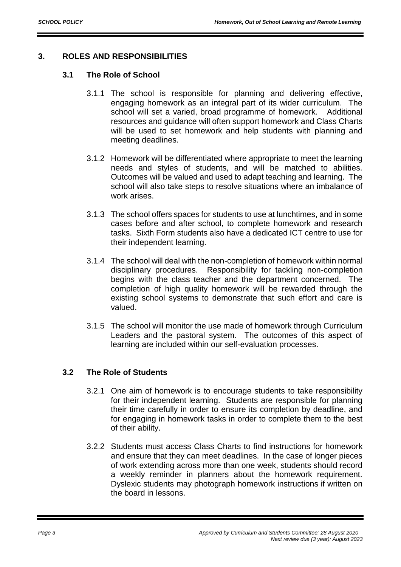# **3. ROLES AND RESPONSIBILITIES**

## **3.1 The Role of School**

- 3.1.1 The school is responsible for planning and delivering effective, engaging homework as an integral part of its wider curriculum. The school will set a varied, broad programme of homework. Additional resources and guidance will often support homework and Class Charts will be used to set homework and help students with planning and meeting deadlines.
- 3.1.2 Homework will be differentiated where appropriate to meet the learning needs and styles of students, and will be matched to abilities. Outcomes will be valued and used to adapt teaching and learning. The school will also take steps to resolve situations where an imbalance of work arises.
- 3.1.3 The school offers spaces for students to use at lunchtimes, and in some cases before and after school, to complete homework and research tasks. Sixth Form students also have a dedicated ICT centre to use for their independent learning.
- 3.1.4 The school will deal with the non-completion of homework within normal disciplinary procedures. Responsibility for tackling non-completion begins with the class teacher and the department concerned. The completion of high quality homework will be rewarded through the existing school systems to demonstrate that such effort and care is valued.
- 3.1.5 The school will monitor the use made of homework through Curriculum Leaders and the pastoral system. The outcomes of this aspect of learning are included within our self-evaluation processes.

#### **3.2 The Role of Students**

- 3.2.1 One aim of homework is to encourage students to take responsibility for their independent learning. Students are responsible for planning their time carefully in order to ensure its completion by deadline, and for engaging in homework tasks in order to complete them to the best of their ability.
- 3.2.2 Students must access Class Charts to find instructions for homework and ensure that they can meet deadlines. In the case of longer pieces of work extending across more than one week, students should record a weekly reminder in planners about the homework requirement. Dyslexic students may photograph homework instructions if written on the board in lessons.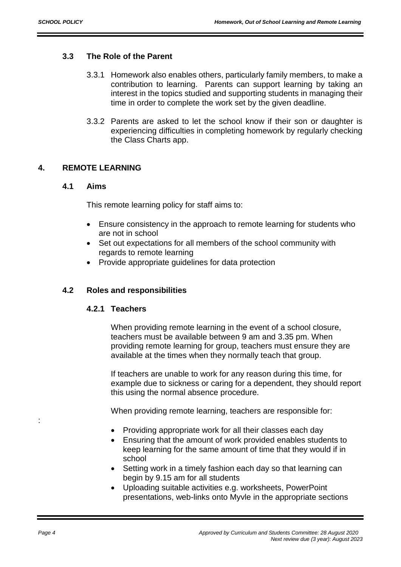## **3.3 The Role of the Parent**

- 3.3.1 Homework also enables others, particularly family members, to make a contribution to learning. Parents can support learning by taking an interest in the topics studied and supporting students in managing their time in order to complete the work set by the given deadline.
- 3.3.2 Parents are asked to let the school know if their son or daughter is experiencing difficulties in completing homework by regularly checking the Class Charts app.

# **4. REMOTE LEARNING**

#### **4.1 Aims**

This remote learning policy for staff aims to:

- Ensure consistency in the approach to remote learning for students who are not in school
- Set out expectations for all members of the school community with regards to remote learning
- Provide appropriate quidelines for data protection

#### **4.2 Roles and responsibilities**

#### **4.2.1 Teachers**

When providing remote learning in the event of a school closure, teachers must be available between 9 am and 3.35 pm. When providing remote learning for group, teachers must ensure they are available at the times when they normally teach that group.

If teachers are unable to work for any reason during this time, for example due to sickness or caring for a dependent, they should report this using the normal absence procedure.

When providing remote learning, teachers are responsible for:

- Providing appropriate work for all their classes each day
- Ensuring that the amount of work provided enables students to keep learning for the same amount of time that they would if in school
- Setting work in a timely fashion each day so that learning can begin by 9.15 am for all students
- Uploading suitable activities e.g. worksheets, PowerPoint presentations, web-links onto Myvle in the appropriate sections

: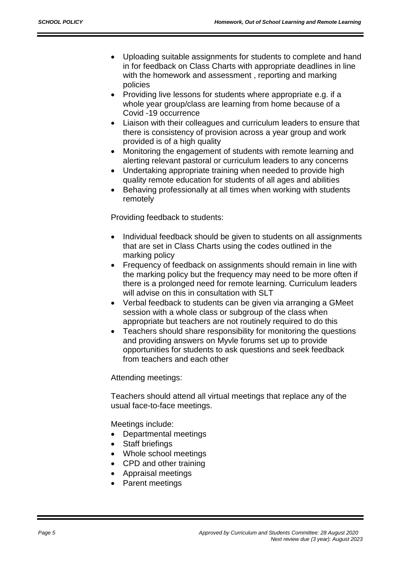- Uploading suitable assignments for students to complete and hand in for feedback on Class Charts with appropriate deadlines in line with the homework and assessment , reporting and marking policies
- Providing live lessons for students where appropriate e.g. if a whole year group/class are learning from home because of a Covid -19 occurrence
- Liaison with their colleagues and curriculum leaders to ensure that there is consistency of provision across a year group and work provided is of a high quality
- Monitoring the engagement of students with remote learning and alerting relevant pastoral or curriculum leaders to any concerns
- Undertaking appropriate training when needed to provide high quality remote education for students of all ages and abilities
- Behaving professionally at all times when working with students remotely

Providing feedback to students:

- Individual feedback should be given to students on all assignments that are set in Class Charts using the codes outlined in the marking policy
- Frequency of feedback on assignments should remain in line with the marking policy but the frequency may need to be more often if there is a prolonged need for remote learning. Curriculum leaders will advise on this in consultation with SLT
- Verbal feedback to students can be given via arranging a GMeet session with a whole class or subgroup of the class when appropriate but teachers are not routinely required to do this
- Teachers should share responsibility for monitoring the questions and providing answers on Myvle forums set up to provide opportunities for students to ask questions and seek feedback from teachers and each other

Attending meetings:

Teachers should attend all virtual meetings that replace any of the usual face-to-face meetings.

Meetings include:

- Departmental meetings
- Staff briefings
- Whole school meetings
- CPD and other training
- Appraisal meetings
- Parent meetings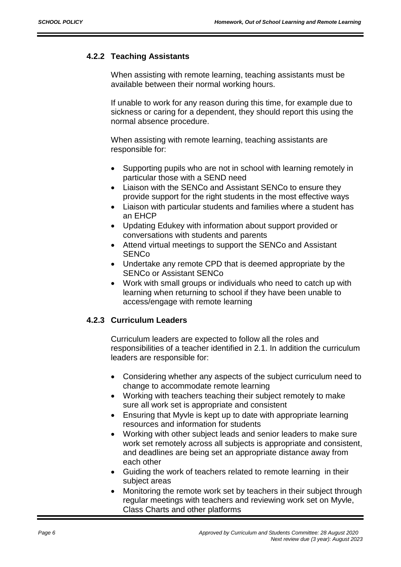### **4.2.2 Teaching Assistants**

When assisting with remote learning, teaching assistants must be available between their normal working hours.

If unable to work for any reason during this time, for example due to sickness or caring for a dependent, they should report this using the normal absence procedure.

When assisting with remote learning, teaching assistants are responsible for:

- Supporting pupils who are not in school with learning remotely in particular those with a SEND need
- Liaison with the SENCo and Assistant SENCo to ensure they provide support for the right students in the most effective ways
- Liaison with particular students and families where a student has an EHCP
- Updating Edukey with information about support provided or conversations with students and parents
- Attend virtual meetings to support the SENCo and Assistant **SENCo**
- Undertake any remote CPD that is deemed appropriate by the SENCo or Assistant SENCo
- Work with small groups or individuals who need to catch up with learning when returning to school if they have been unable to access/engage with remote learning

#### **4.2.3 Curriculum Leaders**

Curriculum leaders are expected to follow all the roles and responsibilities of a teacher identified in 2.1. In addition the curriculum leaders are responsible for:

- Considering whether any aspects of the subject curriculum need to change to accommodate remote learning
- Working with teachers teaching their subject remotely to make sure all work set is appropriate and consistent
- Ensuring that Myvle is kept up to date with appropriate learning resources and information for students
- Working with other subject leads and senior leaders to make sure work set remotely across all subjects is appropriate and consistent, and deadlines are being set an appropriate distance away from each other
- Guiding the work of teachers related to remote learning in their subject areas
- Monitoring the remote work set by teachers in their subject through regular meetings with teachers and reviewing work set on Myvle, Class Charts and other platforms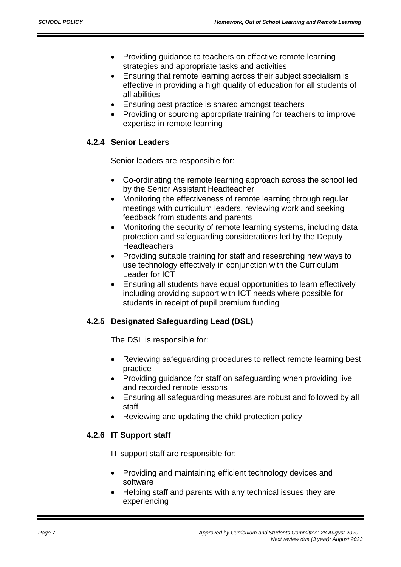- Providing guidance to teachers on effective remote learning strategies and appropriate tasks and activities
- Ensuring that remote learning across their subject specialism is effective in providing a high quality of education for all students of all abilities
- Ensuring best practice is shared amongst teachers
- Providing or sourcing appropriate training for teachers to improve expertise in remote learning

# **4.2.4 Senior Leaders**

Senior leaders are responsible for:

- Co-ordinating the remote learning approach across the school led by the Senior Assistant Headteacher
- Monitoring the effectiveness of remote learning through regular meetings with curriculum leaders, reviewing work and seeking feedback from students and parents
- Monitoring the security of remote learning systems, including data protection and safeguarding considerations led by the Deputy **Headteachers**
- Providing suitable training for staff and researching new ways to use technology effectively in conjunction with the Curriculum Leader for ICT
- Ensuring all students have equal opportunities to learn effectively including providing support with ICT needs where possible for students in receipt of pupil premium funding

# **4.2.5 Designated Safeguarding Lead (DSL)**

The DSL is responsible for:

- Reviewing safeguarding procedures to reflect remote learning best practice
- Providing guidance for staff on safeguarding when providing live and recorded remote lessons
- Ensuring all safeguarding measures are robust and followed by all staff
- Reviewing and updating the child protection policy

# **4.2.6 IT Support staff**

IT support staff are responsible for:

- Providing and maintaining efficient technology devices and software
- Helping staff and parents with any technical issues they are experiencing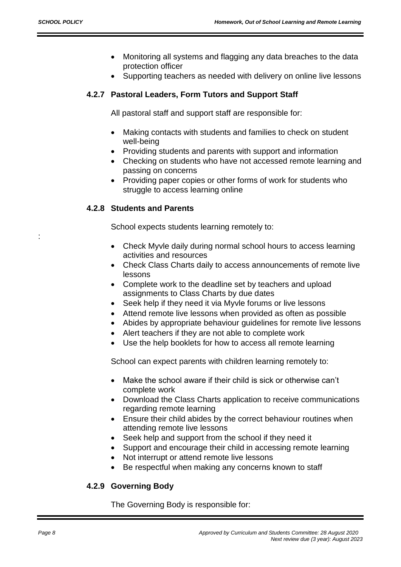:

- Monitoring all systems and flagging any data breaches to the data protection officer
- Supporting teachers as needed with delivery on online live lessons

#### **4.2.7 Pastoral Leaders, Form Tutors and Support Staff**

All pastoral staff and support staff are responsible for:

- Making contacts with students and families to check on student well-being
- Providing students and parents with support and information
- Checking on students who have not accessed remote learning and passing on concerns
- Providing paper copies or other forms of work for students who struggle to access learning online

#### **4.2.8 Students and Parents**

School expects students learning remotely to:

- Check Myvle daily during normal school hours to access learning activities and resources
- Check Class Charts daily to access announcements of remote live lessons
- Complete work to the deadline set by teachers and upload assignments to Class Charts by due dates
- Seek help if they need it via Myvle forums or live lessons
- Attend remote live lessons when provided as often as possible
- Abides by appropriate behaviour guidelines for remote live lessons
- Alert teachers if they are not able to complete work
- Use the help booklets for how to access all remote learning

School can expect parents with children learning remotely to:

- Make the school aware if their child is sick or otherwise can't complete work
- Download the Class Charts application to receive communications regarding remote learning
- Ensure their child abides by the correct behaviour routines when attending remote live lessons
- Seek help and support from the school if they need it
- Support and encourage their child in accessing remote learning
- Not interrupt or attend remote live lessons
- Be respectful when making any concerns known to staff

#### **4.2.9 Governing Body**

The Governing Body is responsible for: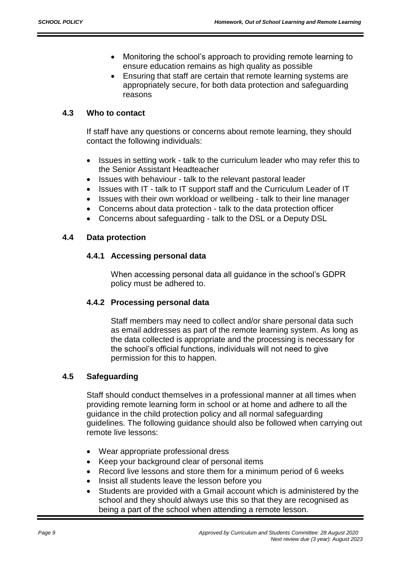- Monitoring the school's approach to providing remote learning to ensure education remains as high quality as possible
- Ensuring that staff are certain that remote learning systems are appropriately secure, for both data protection and safeguarding reasons

## **4.3 Who to contact**

If staff have any questions or concerns about remote learning, they should contact the following individuals:

- Issues in setting work talk to the curriculum leader who may refer this to the Senior Assistant Headteacher
- Issues with behaviour talk to the relevant pastoral leader
- Issues with IT talk to IT support staff and the Curriculum Leader of IT
- Issues with their own workload or wellbeing talk to their line manager
- Concerns about data protection talk to the data protection officer
- Concerns about safeguarding talk to the DSL or a Deputy DSL

#### **4.4 Data protection**

#### **4.4.1 Accessing personal data**

When accessing personal data all guidance in the school's GDPR policy must be adhered to.

#### **4.4.2 Processing personal data**

Staff members may need to collect and/or share personal data such as email addresses as part of the remote learning system. As long as the data collected is appropriate and the processing is necessary for the school's official functions, individuals will not need to give permission for this to happen.

# **4.5 Safeguarding**

Staff should conduct themselves in a professional manner at all times when providing remote learning form in school or at home and adhere to all the guidance in the child protection policy and all normal safeguarding guidelines. The following guidance should also be followed when carrying out remote live lessons:

- Wear appropriate professional dress
- Keep your background clear of personal items
- Record live lessons and store them for a minimum period of 6 weeks
- Insist all students leave the lesson before you
- Students are provided with a Gmail account which is administered by the school and they should always use this so that they are recognised as being a part of the school when attending a remote lesson.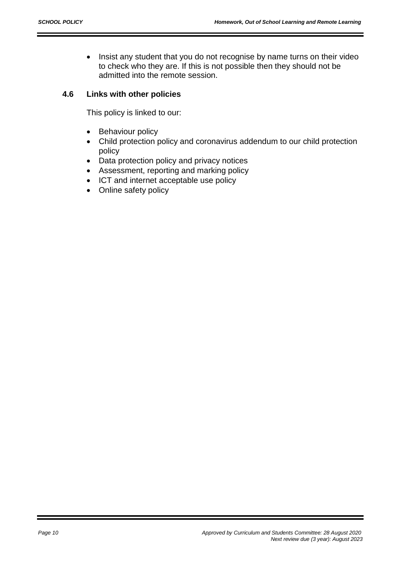• Insist any student that you do not recognise by name turns on their video to check who they are. If this is not possible then they should not be admitted into the remote session.

#### **4.6 Links with other policies**

This policy is linked to our:

- Behaviour policy
- Child protection policy and coronavirus addendum to our child protection policy
- Data protection policy and privacy notices
- Assessment, reporting and marking policy
- ICT and internet acceptable use policy
- Online safety policy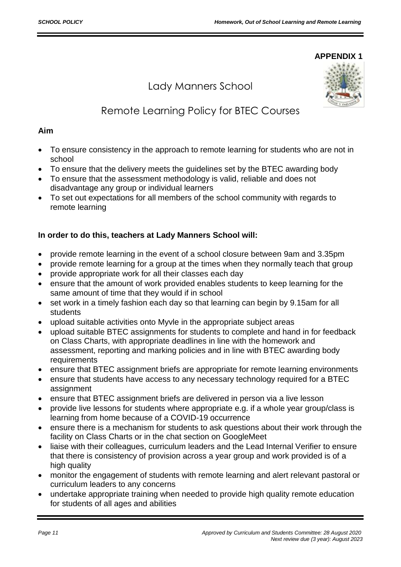#### **APPENDIX 1**

# Lady Manners School



# Remote Learning Policy for BTEC Courses

#### **Aim**

- To ensure consistency in the approach to remote learning for students who are not in school
- To ensure that the delivery meets the guidelines set by the BTEC awarding body
- To ensure that the assessment methodology is valid, reliable and does not disadvantage any group or individual learners
- To set out expectations for all members of the school community with regards to remote learning

# **In order to do this, teachers at Lady Manners School will:**

- provide remote learning in the event of a school closure between 9am and 3.35pm
- provide remote learning for a group at the times when they normally teach that group
- provide appropriate work for all their classes each day
- ensure that the amount of work provided enables students to keep learning for the same amount of time that they would if in school
- set work in a timely fashion each day so that learning can begin by 9.15am for all students
- upload suitable activities onto Myvle in the appropriate subject areas
- upload suitable BTEC assignments for students to complete and hand in for feedback on Class Charts, with appropriate deadlines in line with the homework and assessment, reporting and marking policies and in line with BTEC awarding body requirements
- ensure that BTEC assignment briefs are appropriate for remote learning environments
- ensure that students have access to any necessary technology required for a BTEC assignment
- ensure that BTEC assignment briefs are delivered in person via a live lesson
- provide live lessons for students where appropriate e.g. if a whole year group/class is learning from home because of a COVID-19 occurrence
- ensure there is a mechanism for students to ask questions about their work through the facility on Class Charts or in the chat section on GoogleMeet
- liaise with their colleagues, curriculum leaders and the Lead Internal Verifier to ensure that there is consistency of provision across a year group and work provided is of a high quality
- monitor the engagement of students with remote learning and alert relevant pastoral or curriculum leaders to any concerns
- undertake appropriate training when needed to provide high quality remote education for students of all ages and abilities